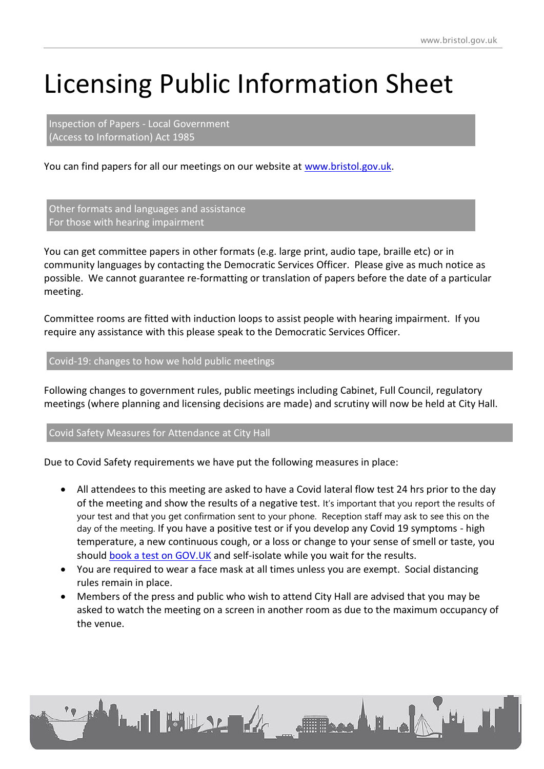# Licensing Public Information Sheet

Inspection of Papers - Local Government (Access to Information) Act 1985

You can find papers for all our meetings on our website at [www.bristol.gov.uk.](http://www.bristol.gov.uk/)

Other formats and languages and assistance For those with hearing impairment

You can get committee papers in other formats (e.g. large print, audio tape, braille etc) or in community languages by contacting the Democratic Services Officer. Please give as much notice as possible. We cannot guarantee re-formatting or translation of papers before the date of a particular meeting.

Committee rooms are fitted with induction loops to assist people with hearing impairment. If you require any assistance with this please speak to the Democratic Services Officer.

# Covid-19: changes to how we hold public meetings

Following changes to government rules, public meetings including Cabinet, Full Council, regulatory meetings (where planning and licensing decisions are made) and scrutiny will now be held at City Hall.

### Covid Safety Measures for Attendance at City Hall

Due to Covid Safety requirements we have put the following measures in place:

- All attendees to this meeting are asked to have a Covid lateral flow test 24 hrs prior to the day of the meeting and show the results of a negative test. It's important that you report the results of your test and that you get confirmation sent to your phone. Reception staff may ask to see this on the day of the meeting. If you have a positive test or if you develop any Covid 19 symptoms - high temperature, a new continuous cough, or a loss or change to your sense of smell or taste, you should [book a test on GOV.UK](https://www.gov.uk/get-coronavirus-test) and self-isolate while you wait for the results.
- You are required to wear a face mask at all times unless you are exempt. Social distancing rules remain in place.
- Members of the press and public who wish to attend City Hall are advised that you may be asked to watch the meeting on a screen in another room as due to the maximum occupancy of the venue.

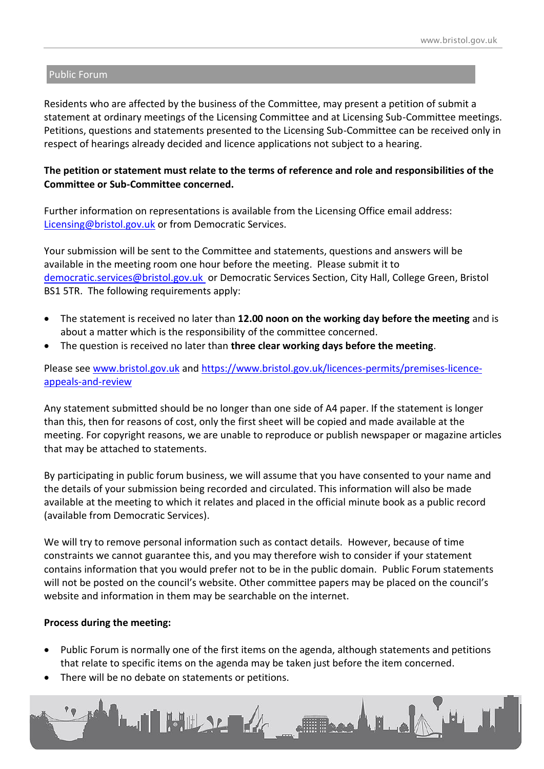#### Public Forum

Residents who are affected by the business of the Committee, may present a petition of submit a statement at ordinary meetings of the Licensing Committee and at Licensing Sub-Committee meetings. Petitions, questions and statements presented to the Licensing Sub-Committee can be received only in respect of hearings already decided and licence applications not subject to a hearing.

## **The petition or statement must relate to the terms of reference and role and responsibilities of the Committee or Sub-Committee concerned.**

Further information on representations is available from the Licensing Office email address: [Licensing@bristol.gov.uk](Licensing@bristol.gov.uk%20) or from Democratic Services.

Your submission will be sent to the Committee and statements, questions and answers will be available in the meeting room one hour before the meeting. Please submit it to [democratic.services@bristol.gov.uk](mailto:democratic.services@bristol.gov.uk) or Democratic Services Section, City Hall, College Green, Bristol BS1 5TR. The following requirements apply:

- The statement is received no later than **12.00 noon on the working day before the meeting** and is about a matter which is the responsibility of the committee concerned.
- The question is received no later than **three clear working days before the meeting**.

# Please see [www.bristol.gov.uk](http://www.bristol.gov.uk/) and [https://www.bristol.gov.uk/licences-permits/premises-licence](https://www.bristol.gov.uk/licences-permits/premises-licence-appeals-and-review)[appeals-and-review](https://www.bristol.gov.uk/licences-permits/premises-licence-appeals-and-review)

Any statement submitted should be no longer than one side of A4 paper. If the statement is longer than this, then for reasons of cost, only the first sheet will be copied and made available at the meeting. For copyright reasons, we are unable to reproduce or publish newspaper or magazine articles that may be attached to statements.

By participating in public forum business, we will assume that you have consented to your name and the details of your submission being recorded and circulated. This information will also be made available at the meeting to which it relates and placed in the official minute book as a public record (available from Democratic Services).

We will try to remove personal information such as contact details. However, because of time constraints we cannot guarantee this, and you may therefore wish to consider if your statement contains information that you would prefer not to be in the public domain. Public Forum statements will not be posted on the council's website. Other committee papers may be placed on the council's website and information in them may be searchable on the internet.

### **Process during the meeting:**

- Public Forum is normally one of the first items on the agenda, although statements and petitions that relate to specific items on the agenda may be taken just before the item concerned.
- There will be no debate on statements or petitions.